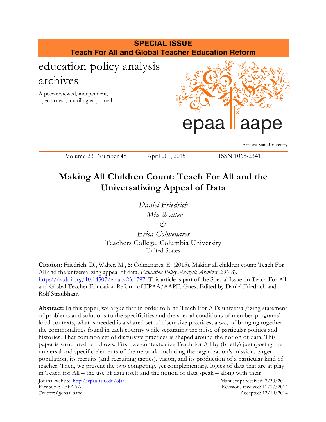

# **Making All Children Count: Teach For All and the Universalizing Appeal of Data**

*Daniel Friedrich Mia Walter &*

*Erica Colmenares* Teachers College, Columbia University United States

**Citation:** Friedrich, D., Walter, M., & Colmenares, E. (2015). Making all children count: Teach For All and the universalizing appeal of data. *Education Policy Analysis Archives, 23*(48). http://dx.doi.org/10.14507/epaa.v23.1797. This article is part of the Special Issue on Teach For All and Global Teacher Education Reform of EPAA/AAPE, Guest Edited by Daniel Friedrich and Rolf Straubhaar.

**Abstract:** In this paper, we argue that in order to bind Teach For All's universal/izing statement of problems and solutions to the specificities and the special conditions of member programs' local contexts, what is needed is a shared set of discursive practices, a way of bringing together the commonalities found in each country while separating the noise of particular politics and histories. That common set of discursive practices is shaped around the notion of data. This paper is structured as follows: First, we contextualize Teach for All by (briefly) juxtaposing the universal and specific elements of the network, including the organization's mission, target population, its recruits (and recruiting tactics), vision, and its production of a particular kind of teacher. Then, we present the two competing, yet complementary, logics of data that are at play in Teach for All – the use of data itself and the notion of data speak – along with their

Journal website: http://epaa.asu.edu/ojs/ Manuscript received: 7/30/2014 Facebook: /EPAAA Revisions received: 11/17/2014 Twitter: @epaa\_aape Accepted: 12/19/2014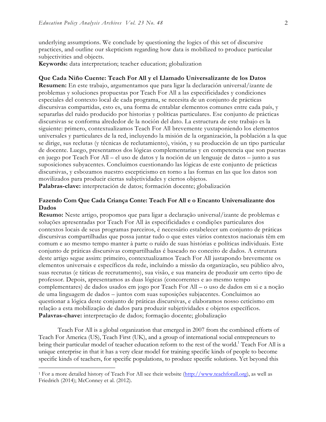underlying assumptions. We conclude by questioning the logics of this set of discursive practices, and outline our skepticism regarding how data is mobilized to produce particular subjectivities and objects.

**Keywords:** data interpretation; teacher education; globalization

#### **Que Cada Niño Cuente: Teach For All y el Llamado Universalizante de los Datos**

**Resumen:** En este trabajo, argumentamos que para ligar la declaración universal/izante de problemas y soluciones propuestas por Teach For All a las especificidades y condiciones especiales del contexto local de cada programa, se necesita de un conjunto de prácticas discursivas compartidas, esto es, una forma de entablar elementos comunes entre cada país, y separarlas del ruido producido por historias y políticas particulares. Ese conjunto de prácticas discursivas se conforma alrededor de la noción del dato. La estructura de este trabajo es la siguiente: primero, contextualizamos Teach For All brevemente yuxtaponiendo los elementos universales y particulares de la red, incluyendo la misión de la organización, la población a la que se dirige, sus reclutas (y técnicas de reclutamiento), visión, y su producción de un tipo particular de docente. Luego, presentamos dos lógicas complementarias y en competencia que son puestas en juego por Teach For All – el uso de datos y la noción de un lenguaje de datos – junto a sus suposiciones subyacentes. Concluimos cuestionando las lógicas de este conjunto de prácticas discursivas, y esbozamos nuestro escepticismo en torno a las formas en las que los datos son movilizados para producir ciertas subjetividades y ciertos objetos.

**Palabras-clave:** interpretación de datos; formación docente; globalización

### **Fazendo Com Que Cada Criança Conte: Teach For All e o Encanto Universalizante dos Dados**

**Resumo:** Neste artigo, propomos que para ligar a declaração universal/izante de problemas e soluções apresentadas por Teach For All às especificidades e condições particulares dos contextos locais de seus programas parceiros, é necessário estabelecer um conjunto de práticas discursivas compartilhadas que possa juntar tudo o que estes vários contextos nacionais têm em comum e ao mesmo tempo manter à parte o ruído de suas histórias e políticas individuais. Este conjunto de práticas discursivas compartilhadas é baseado no conceito de dados. A estrutura deste artigo segue assim: primeiro, contextualizamos Teach For All justapondo brevemente os elementos universais e específicos da rede, incluíndo a missão da organização, seu público alvo, suas recrutas (e táticas de recrutamento), sua visão, e sua maneira de produzir um certo tipo de professor. Depois, apresentamos as duas lógicas (concorrentes e ao mesmo tempo complementares) de dados usados em jogo por Teach For All – o uso de dados em si e a noção de uma linguagem de dados – juntos com suas suposições subjacentes. Concluimos ao questionar a lógica deste conjunto de práticas discursivas, e elaboramos nosso ceticismo em relação a esta mobilização de dados para produzir subjetividades e objetos específicos. **Palavras-chave:** interpretação de dados; formação docente; globalização

Teach For All is a global organization that emerged in 2007 from the combined efforts of Teach For America (US), Teach First (UK), and a group of international social entrepreneurs to bring their particular model of teacher education reform to the rest of the world.<sup>1</sup> Teach For All is a unique enterprise in that it has a very clear model for training specific kinds of people to become specific kinds of teachers, for specific populations, to produce specific solutions. Yet beyond this

<sup>1</sup> For a more detailed history of Teach For All see their website (http://www.teachforall.org), as well as Friedrich (2014); McConney et al. (2012).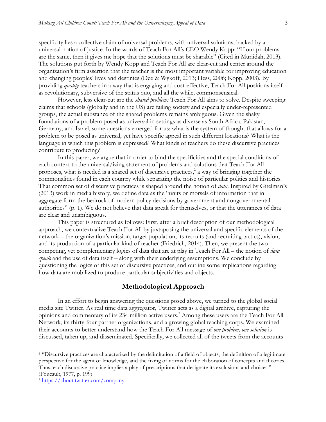specificity lies a collective claim of universal problems, with universal solutions, backed by a universal notion of justice. In the words of Teach For All's CEO Wendy Kopp: "If our problems are the same, then it gives me hope that the solutions must be sharable" (Cited in Murlidah, 2013). The solutions put forth by Wendy Kopp and Teach For All are clear-cut and center around the organization's firm assertion that the teacher is the most important variable for improving education and changing peoples' lives and destinies (Dee & Wykoff, 2013; Hess, 2006; Kopp, 2003). By providing *quality* teachers in a way that is engaging and cost-effective, Teach For All positions itself as revolutionary, subversive of the status quo, and all the while, commonsensical.

However, less clear-cut are the *shared problems* Teach For All aims to solve. Despite sweeping claims that schools (globally and in the US) are failing society and especially under-represented groups, the actual substance of the shared problems remains ambiguous. Given the shaky foundations of a problem posed as universal in settings as diverse as South Africa, Pakistan, Germany, and Israel, some questions emerged for us: what is the system of thought that allows for a problem to be posed as universal, yet have specific appeal in such different locations? What is the language in which this problem is expressed? What kinds of teachers do these discursive practices contribute to producing?

In this paper, we argue that in order to bind the specificities and the special conditions of each context to the universal/izing statement of problems and solutions that Teach For All proposes, what is needed is a shared set of discursive practices, <sup>2</sup> a way of bringing together the commonalities found in each country while separating the noise of particular politics and histories. That common set of discursive practices is shaped around the notion of *data*. Inspired by Gitelman's (2013) work in media history, we define data as the "units or morsels of information that in aggregate form the bedrock of modern policy decisions by government and nongovernmental authorities" (p. 1). We do not believe that data speak for themselves, or that the utterances of data are clear and unambiguous.

This paper is structured as follows: First, after a brief description of our methodological approach, we contextualize Teach For All by juxtaposing the universal and specific elements of the network – the organization's mission, target population, its recruits (and recruiting tactics), vision, and its production of a particular kind of teacher (Friedrich, 2014). Then, we present the two competing, yet complementary logics of data that are at play in Teach For All – the notion of *data speak* and the use of data itself – along with their underlying assumptions. We conclude by questioning the logics of this set of discursive practices, and outline some implications regarding how data are mobilized to produce particular subjectivities and objects.

#### **Methodological Approach**

In an effort to begin answering the questions posed above, we turned to the global social media site Twitter. As real time data aggregator, Twitter acts as a digital archive, capturing the opinions and commentary of its 234 million active users. <sup>3</sup> Among these users are the Teach For All Network, its thirty-four partner organizations, and a growing global teaching corps. We examined their accounts to better understand how the Teach For All message of *one problem, one solution* is discussed, taken up, and disseminated. Specifically, we collected all of the tweets from the accounts

<sup>2</sup> "Discursive practices are characterized by the delimitation of a field of objects, the definition of a legitimate perspective for the agent of knowledge, and the fixing of norms for the elaboration of concepts and theories. Thus, each discursive practice implies a play of prescriptions that designate its exclusions and choices." (Foucault, 1977, p. 199)

<sup>3</sup> https://about.twitter.com/company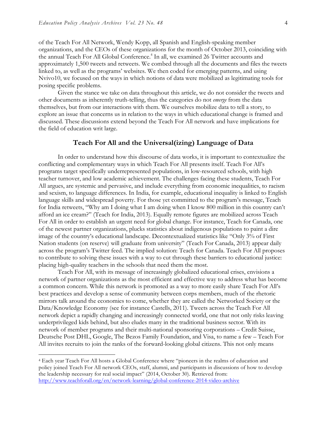of the Teach For All Network, Wendy Kopp, all Spanish and English-speaking member organizations, and the CEOs of these organizations for the month of October 2013, coinciding with the annual Teach For All Global Conference. <sup>4</sup> In all, we examined 26 Twitter accounts and approximately 1,500 tweets and retweets. We combed through all the documents and files the tweets linked to, as well as the programs' websites. We then coded for emerging patterns, and using Nvivo10, we focused on the ways in which notions of data were mobilized as legitimating tools for posing specific problems.

Given the stance we take on data throughout this article, we do not consider the tweets and other documents as inherently truth-telling, thus the categories do not *emerge* from the data themselves, but from our interactions with them. We ourselves mobilize data to tell a story, to explore an issue that concerns us in relation to the ways in which educational change is framed and discussed. These discussions extend beyond the Teach For All network and have implications for the field of education writ large.

#### **Teach For All and the Universal(izing) Language of Data**

In order to understand how this discourse of data works, it is important to contextualize the conflicting and complementary ways in which Teach For All presents itself. Teach For All's programs target specifically underrepresented populations, in low-resourced schools, with high teacher turnover, and low academic achievement. The challenges facing these students, Teach For All argues, are systemic and pervasive, and include everything from economic inequalities, to racism and sexism, to language differences. In India, for example, educational inequality is linked to English language skills and widespread poverty. For those yet committed to the program's message, Teach for India retweets, "Why am I doing what I am doing when I know 800 million in this country can't afford an ice cream?" (Teach for India, 2013). Equally remote figures are mobilized across Teach For All in order to establish an urgent need for global change. For instance, Teach for Canada, one of the newest partner organizations, plucks statistics about indigenous populations to paint a dire image of the country's educational landscape. Decontextualized statistics like "Only 3% of First Nation students (on reserve) will graduate from university" (Teach For Canada, 2013) appear daily across the program's Twitter feed. The implied solution: Teach for Canada. Teach For All proposes to contribute to solving these issues with a way to cut through these barriers to educational justice: placing high-quality teachers in the schools that need them the most.

Teach For All, with its message of increasingly globalized educational crises, envisions a network of partner organizations as the most efficient and effective way to address what has become a common concern. While this network is promoted as a way to more easily share Teach For All's best practices and develop a sense of community between corps members, much of the rhetoric mirrors talk around the economies to come, whether they are called the Networked Society or the Data/Knowledge Economy (see for instance Castells, 2011). Tweets across the Teach For All network depict a rapidly changing and increasingly connected world, one that not only risks leaving underprivileged kids behind, but also eludes many in the traditional business sector. With its network of member programs and their multi-national sponsoring corporations – Credit Suisse, Deutsche Post DHL, Google, The Bezos Family Foundation, and Visa, to name a few – Teach For All invites recruits to join the ranks of the forward-looking global citizens. This not only means

<sup>4</sup> Each year Teach For All hosts a Global Conference where "pioneers in the realms of education and policy joined Teach For All network CEOs, staff, alumni, and participants in discussions of how to develop the leadership necessary for real social impact" (2014, October 30). Retrieved from: http://www.teachforall.org/en/network-learning/global-conference-2014-video-archive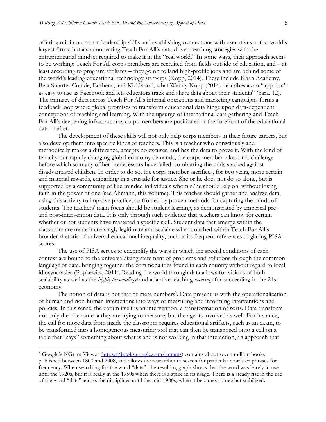offering mini-courses on leadership skills and establishing connections with executives at the world's largest firms, but also connecting Teach For All's data-driven teaching strategies with the entrepreneurial mindset required to make it in the "real world." In some ways, their approach seems to be working: Teach For All corps members are recruited from fields outside of education, and – at least according to program affiliates – they go on to land high-profile jobs and are behind some of the world's leading educational technology start-ups (Kopp, 2014). These include Khan Academy, Be a Smarter Cookie, Edthena, and Kickboard, what Wendy Kopp (2014) describes as an "app that's as easy to use as Facebook and lets educators track and share data about their students" (para*.* 12). The primacy of data across Teach For All's internal operations and marketing campaigns forms a feedback loop where global promises to transform educational data hinge upon data-dependent conceptions of teaching and learning. With the upsurge of international data gathering and Teach For All's deepening infrastructure, corps members are positioned at the forefront of the educational data market.

The development of these skills will not only help corps members in their future careers, but also develop them into specific kinds of teachers. This is a teacher who consciously and methodically makes a difference, accepts no excuses, and has the data to prove it. With the kind of tenacity our rapidly changing global economy demands, the corps member takes on a challenge before which so many of her predecessors have failed: combatting the odds stacked against disadvantaged children. In order to do so, the corps member sacrifices, for two years, more certain and material rewards, embarking in a crusade for justice. She or he does not do so alone, but is supported by a community of like-minded individuals whom s/he should rely on, without losing faith in the power of one (see Ahmann, this volume). This teacher should gather and analyze data, using this activity to improve practice, scaffolded by proven methods for capturing the minds of students. The teachers' main focus should be student learning, as demonstrated by empirical preand post-intervention data. It is only through such evidence that teachers can know for certain whether or not students have mastered a specific skill. Student data that emerge within the classroom are made increasingly legitimate and scalable when couched within Teach For All's broader rhetoric of universal educational inequality, such as its frequent references to glaring PISA scores.

The use of PISA serves to exemplify the ways in which the special conditions of each context are bound to the universal/izing statement of problems and solutions through the common language of data, bringing together the commonalities found in each country without regard to local idiosyncrasies (Popkewitz, 2011). Reading the world through data allows for visions of both scalability as well as the *highly personalized* and adaptive teaching *necessary* for succeeding in the 21st economy.

The notion of data is not that of mere numbers<sup>5</sup>. Data present us with the operationalization of human and non-human interactions into ways of measuring and informing interventions and policies. In this sense, the datum itself is an intervention, a transformation of sorts. Data transform not only the phenomena they are trying to measure, but the agents involved as well. For instance, the call for more data from inside the classroom requires educational artifacts, such as an exam, to be transformed into a homogeneous measuring tool that can then be transposed onto a cell on a table that "says" something about what is and is not working in that interaction, an approach that

<sup>&</sup>lt;sup>5</sup> Google's NGram Viewer (https://books.google.com/ngrams) contains about seven million books published between 1800 and 2008, and allows the researcher to search for particular words or phrases for frequency. When searching for the word "data", the resulting graph shows that the word was barely in use until the 1920s, but it is really in the 1950s when there is a spike in its usage. There is a steady rise in the use of the word "data" across the disciplines until the mid-1980s, when it becomes somewhat stabilized.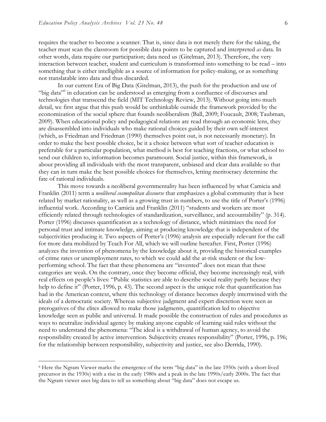requires the teacher to become a scanner. That is, since data is not merely there for the taking, the teacher must scan the classroom for possible data points to be captured and interpreted *as* data. In other words, data require our participation; data need us (Gitelman, 2013). Therefore, the very interaction between teacher, student and curriculum is transformed into something to be read – into something that is either intelligible as a source of information for policy-making, or as something not translatable into data and thus discarded.

In our current Era of Big Data (Gitelman, 2013), the push for the production and use of "big data"<sup>6</sup> in education can be understood as emerging from a confluence of discourses and technologies that transcend the field (MIT Technology Review, 2013). Without going into much detail, we first argue that this push would be unthinkable outside the framework provided by the economization of the social sphere that founds neoliberalism (Ball, 2009; Foucault, 2008; Taubman, 2009). When educational policy and pedagogical relations are read through an economic lens, they are disassembled into individuals who make rational choices guided by their own self-interest (which, as Friedman and Friedman (1990) themselves point out, is not necessarily monetary). In order to make the best possible choice, be it a choice between what sort of teacher education is preferable for a particular population, what method is best for teaching fractions, or what school to send our children to, information becomes paramount. Social justice, within this framework, is about providing all individuals with the most transparent, unbiased and clear data available so that they can in turn make the best possible choices for themselves, letting meritocracy determine the fate of rational individuals.

This move towards a neoliberal governmentality has been influenced by what Camicia and Franklin (2011) term a *neoliberal cosmopolitan discourse* that emphasizes a global community that is best related by market rationality, as well as a growing trust in numbers, to use the title of Porter's (1996) influential work. According to Camicia and Franklin (2011) "students and workers are most efficiently related through technologies of standardization, surveillance, and accountability" (p. 314). Porter (1996) discusses quantification as a technology of distance, which minimizes the need for personal trust and intimate knowledge, aiming at producing knowledge that is independent of the subjectivities producing it. Two aspects of Porter's (1996) analysis are especially relevant for the call for more data mobilized by Teach For All, which we will outline hereafter. First, Porter (1996) analyzes the invention of phenomena by the knowledge about it, providing the historical examples of crime rates or unemployment rates, to which we could add the at-risk student or the lowperforming school. The fact that these phenomena are "invented" does not mean that these categories are weak. On the contrary, once they become official, they become increasingly real, with real effects on people's lives: "Public statistics are able to describe social reality partly because they help to define it" (Porter, 1996, p. 43). The second aspect is the unique role that quantification has had in the American context, where this technology of distance becomes deeply intertwined with the ideals of a democratic society. Whereas subjective judgment and expert discretion were seen as prerogatives of the elites allowed to make those judgments, quantification led to objective knowledge seen as public and universal. It made possible the construction of rules and procedures as ways to neutralize individual agency by making anyone capable of learning said rules without the need to understand the phenomena: "The ideal is a withdrawal of human agency, to avoid the responsibility created by active intervention. Subjectivity creates responsibility" (Porter, 1996, p. 196; for the relationship between responsibility, subjectivity and justice, see also Derrida, 1990).

<sup>6</sup> Here the Ngram Viewer marks the emergence of the term "big data" in the late 1950s (with a short-lived precursor in the 1930s) with a rise in the early 1980s and a peak in the late 1990s/early 2000s. The fact that the Ngram viewer uses big data to tell us something about "big data" does not escape us.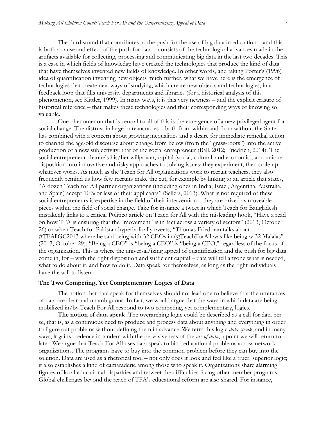The third strand that contributes to the push for the use of big data in education – and this is both a cause and effect of the push for data – consists of the technological advances made in the artifacts available for collecting, processing and communicating big data in the last two decades. This is a case in which fields of knowledge have created the technologies that produce the kind of data that have themselves invented new fields of knowledge. In other words, and taking Porter's (1996) idea of quantification inventing new objects much further, what we have here is the emergence of technologies that create new ways of studying, which create new objects and technologies, in a feedback loop that fills university departments and libraries (for a historical analysis of this phenomenon, see Kittler, 1999). In many ways, it is this very newness – and the explicit erasure of historical reference – that makes these technologies and their corresponding ways of knowing so valuable.

One phenomenon that is central to all of this is the emergence of a new privileged agent for social change. The distrust in large bureaucracies – both from within and from without the State – has combined with a concern about growing inequalities and a desire for immediate remedial action to channel the age-old discourse about change from below (from the "grass-roots") into the active production of a new subjectivity: that of the social entrepreneur (Ball, 2012; Friedrich, 2014). The social entrepreneur channels his/her willpower, capital (social, cultural, and economic), and unique disposition into innovative and risky approaches to solving issues; they experiment, then scale up whatever works. As much as the Teach for All organizations work to recruit teachers, they also frequently remind us how few recruits make the cut, for example by linking to an article that states, "A dozen Teach for All partner organizations (including ones in India, Israel, Argentina, Australia, and Spain) accept 10% or less of their applicants" (Sellers, 2013). What is not required of these social entrepreneurs is expertise in the field of their intervention – they are prized as moveable pieces within the field of social change. Take for instance a tweet in which Teach for Bangladesh mistakenly links to a critical Politico article on Teach for All with the misleading hook, "Have a read on how TFA is ensuring that the "movement" is in fact across a variety of sectors" (2013, October 26) or when Teach for Pakistan hyperbolically tweets, "Thomas Friedman talks about #TFAllGC2013 where he said being with 32 CEOs in @TeachForAll was like being w 32 Malalas" (2013, October 29). "Being a CEO" is "being a CEO" is "being a CEO," regardless of the focus of the organization. This is where the universal/izing appeal of quantification and the push for big data come in, for – with the right disposition and sufficient capital – data will tell anyone what is needed, what to do about it, and how to do it. Data speak for themselves, as long as the right individuals have the will to listen.

#### **The Two Competing, Yet Complementary Logics of Data**

The notion that data speak for themselves should not lead one to believe that the utterances of data are clear and unambiguous. In fact, we would argue that the ways in which data are being mobilized in/by Teach For All respond to two competing, yet complementary, logics.

**The notion of data speak.** The overarching logic could be described as a call for data per se, that is, as a continuous need to produce and process data about anything and everything in order to figure out problems without defining them in advance. We term this logic *data speak*, and in many ways, it gains credence in tandem with the pervasiveness of the *use of data*, a point we will return to later. We argue that Teach For All uses data speak to bind educational problems across network organizations. The programs have to buy into the common problem before they can buy into the solution. Data are used as a rhetorical tool – not only does it look and feel like a truer, superior logic; it also establishes a kind of camaraderie among those who speak it. Organizations share alarming figures of local educational disparities and retweet the difficulties facing other member programs. Global challenges beyond the reach of TFA's educational reform are also shared. For instance,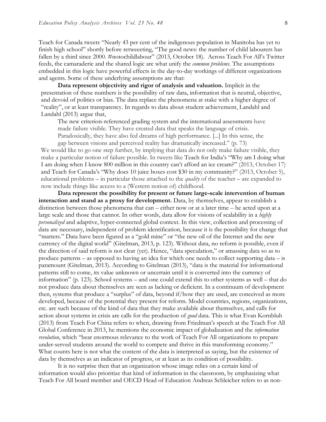Teach for Canada tweets "Nearly 43 per cent of the indigenous population in Manitoba has yet to finish high school" shortly before retweeeting, "The good news: the number of child labourers has fallen by a third since 2000. #notochildlabour" (2013, October 18). Across Teach For All's Twitter feeds, the camaraderie and the shared logic are what unify the *common problems*. The assumptions embedded in this logic have powerful effects in the day-to-day workings of different organizations and agents. Some of these underlying assumptions are that:

**Data represent objectivity and rigor of analysis and valuation.** Implicit in the presentation of these numbers is the possibility of raw data, information that is neutral, objective, and devoid of politics or bias. The data replace the phenomena at stake with a higher degree of "reality", or at least transparency. In regards to data about student achievement, Landahl and Landahl (2013) argue that,

The new criterion-referenced grading system and the international assessments have made failure visible. They have created data that speaks the language of crisis. Paradoxically, they have also fed dreams of high performance. [...] In this sense, the

gap between visions and perceived reality has dramatically increased." (p. 73) We would like to go one step further, by implying that data do not only make failure visible, they make a particular notion of failure possible. In tweets like Teach for India's "Why am I doing what I am doing when I know 800 million in this country can't afford an ice cream?" (2013, October 17) and Teach for Canada's "Why does 10 juice boxes cost \$30 in my community?" (2013, October 5), educational problems – in particular those attached to the *quality* of the teacher – are expanded to now include things like access to a (Western notion of) childhood.

**Data represent the possibility for present or future large-scale intervention of human interaction and stand as a proxy for development.** Data, by themselves, appear to establish a distinction between those phenomena that can – either now or at a later time – be acted upon at a large scale and those that cannot. In other words, data allow for visions of scalability in a *highly personalized* and adaptive, hyper-connected global context. In this view, collection and processing of data are necessary, independent of problem identification, because it is the possibility for change that "matters." Data have been figured as a "gold mine" or "the new oil of the Internet and the new currency of the digital world" (Gitelman, 2013, p. 123). Without data, no reform is possible, even if the direction of said reform is not clear (yet). Hence, "data speculation," or amassing data so as to produce patterns – as opposed to having an idea for which one needs to collect supporting data – is paramount (Gitelman, 2013). According to Gitelman (2013), "data is the material for informational patterns still to come, its value unknown or uncertain until it is converted into the currency of information" (p. 123). School systems – and one could extend this to other systems as well – that do not produce data about themselves are seen as lacking or deficient. In a continuum of development then, systems that produce a "surplus" of data, beyond if/how they are used, are conceived as more developed, because of the potential they present for reform. Model countries, regions, organizations, etc. are such because of the kind of data that they make available about themselves, and calls for action about systems in crisis are calls for the production of *good* data. This is what Evan Kornbluh (2013) from Teach For China refers to when, drawing from Friedman's speech at the Teach For All Global Conference in 2013, he mentions the economic impact of globalization and the *information revolution*, which "bear enormous relevance to the work of Teach For All organizations to prepare under-served students around the world to compete and thrive in this transforming economy." What counts here is not what the content of the data is interpreted as saying, but the existence of data by themselves as an indicator of progress, or at least as its condition of possibility.

It is no surprise then that an organization whose image relies on a certain kind of information would also prioritize that kind of information in the classroom, by emphasizing what Teach For All board member and OECD Head of Education Andreas Schleicher refers to as non-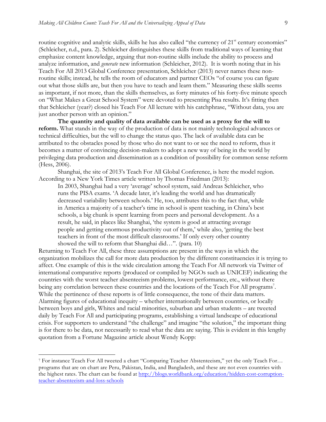routine cognitive and analytic skills, skills he has also called "the currency of 21<sup>st</sup> century economies" (Schleicher, n.d., para. 2). Schleicher distinguishes these skills from traditional ways of learning that emphasize content knowledge, arguing that non-routine skills include the ability to process and analyze information, and *generate* new information (Schleicher, 2012). It is worth noting that in his Teach For All 2013 Global Conference presentation, Schleicher (2013) never names these nonroutine skills; instead, he tells the room of educators and partner CEOs "of course you can figure out what those skills are, but then you have to teach and learn them." Measuring these skills seems as important, if not more, than the skills themselves, as forty minutes of his forty-five minute speech on "What Makes a Great School System" were devoted to presenting Pisa results. It's fitting then that Schleicher (year?) closed his Teach For All lecture with his catchphrase, "Without data, you are just another person with an opinion."

**The quantity and quality of data available can be used as a proxy for the will to reform.** What stands in the way of the production of data is not mainly technological advances or technical difficulties, but the will to change the status quo. The lack of available data can be attributed to the obstacles posed by those who do not want to or see the need to reform, thus it becomes a matter of convincing decision-makers to adopt a new way of being in the world by privileging data production and dissemination as a condition of possibility for common sense reform (Hess, 2006).

Shanghai, the site of 2013's Teach For All Global Conference, is here the model region. According to a New York Times article written by Thomas Friedman (2013):

In 2003, Shanghai had a very 'average' school system, said Andreas Schleicher, who runs the PISA exams. 'A decade later, it's leading the world and has dramatically decreased variability between schools.' He, too, attributes this to the fact that, while in America a majority of a teacher's time in school is spent teaching, in China's best schools, a big chunk is spent learning from peers and personal development. As a result, he said, in places like Shanghai, 'the system is good at attracting average people and getting enormous productivity out of them,' while also, 'getting the best teachers in front of the most difficult classrooms.' If only every other country showed the will to reform that Shanghai did…". (para. 10)

Returning to Teach For All, these three assumptions are present in the ways in which the organization mobilizes the call for more data production by the different constituencies it is trying to affect. One example of this is the wide circulation among the Teach For All network via Twitter of international comparative reports (produced or compiled by NGOs such as UNICEF) indicating the countries with the worst teacher absenteeism problems, lowest performance, etc., without there being any correlation between these countries and the locations of the Teach For All programs<sup>7</sup>. While the pertinence of these reports is of little consequence, the tone of their data matters. Alarming figures of educational inequity – whether internationally between countries, or locally between boys and girls, Whites and racial minorities, suburban and urban students – are tweeted daily by Teach For All and participating programs, establishing a virtual landscape of educational crisis. For supporters to understand "the challenge" and imagine "the solution," the important thing is for there to be data, not necessarily to read what the data are saying. This is evident in this lengthy quotation from a Fortune Magazine article about Wendy Kopp:

<sup>7</sup> For instance Teach For All tweeted a chart "Comparing Teacher Abstenteeism," yet the only Teach For… programs that are on chart are Peru, Pakistan, India, and Bangladesh, and these are not even countries with the highest rates. The chart can be found at http://blogs.worldbank.org/education/hidden-cost-corruptionteacher-absenteeism-and-loss-schools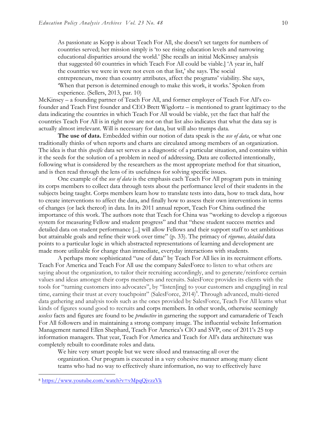As passionate as Kopp is about Teach For All, she doesn't set targets for numbers of countries served; her mission simply is 'to see rising education levels and narrowing educational disparities around the world.' [She recalls an initial McKinsey analysis that suggested 60 countries in which Teach For All could be viable.] 'A year in, half the countries we were in were not even on that list,' she says. The social entrepreneurs, more than country attributes, affect the programs' viability. She says, 'When that person is determined enough to make this work, it works.' Spoken from experience. (Sellers, 2013, par. 10)

McKinsey – a founding partner of Teach For All, and former employer of Teach For All's cofounder and Teach First founder and CEO Brett Wigdortz – is mentioned to grant legitimacy to the data indicating the countries in which Teach For All would be viable, yet the fact that half the countries Teach For All is in right now are not on that list also indicates that what the data say is actually almost irrelevant. Will is necessary for data, but will also trumps data.

**The use of data.** Embedded within our notion of data speak is the *use of data*, or what one traditionally thinks of when reports and charts are circulated among members of an organization. The idea is that this *specific* data set serves as a diagnostic of a particular situation, and contains within it the seeds for the solution of a problem in need of addressing. Data are collected intentionally, following what is considered by the researchers as the most appropriate method for that situation, and is then read through the lens of its usefulness for solving specific issues.

One example of the *use of data* is the emphasis each Teach For All program puts in training its corps members to collect data through tests about the performance level of their students in the subjects being taught. Corps members learn how to translate tests into data, how to track data, how to create interventions to affect the data, and finally how to assess their own interventions in terms of changes (or lack thereof) in data. In its 2011 annual report, Teach For China outlined the importance of this work. The authors note that Teach for China was "working to develop a rigorous system for measuring Fellow and student progress" and that "these student success metrics and detailed data on student performance [...] will allow Fellows and their support staff to set ambitious but attainable goals and refine their work over time" (p. 33). The primacy of *rigorous, detailed* data points to a particular logic in which abstracted representations of learning and development are made more utilizable for change than immediate, everyday interactions with students.

A perhaps more sophisticated "use of data" by Teach For All lies in its recruitment efforts. Teach For America and Teach For All use the company SalesForce to listen to what others are saying about the organization, to tailor their recruiting accordingly, and to generate/reinforce certain values and ideas amongst their corps members and recruits. SalesForce provides its clients with the tools for "turning customers into advocates", by "listen[ing] to your customers and engag[ing] in real time, earning their trust at every touchpoint" (SalesForce, 2014)<sup>8</sup>. Through advanced, multi-tiered data gathering and analysis tools such as the ones provided by SalesForce, Teach For All learns what kinds of figures sound good to recruits and corps members. In other words, otherwise seemingly *useless* facts and figures are found to be *productive* in garnering the support and camaraderie of Teach For All followers and in maintaining a strong company image. The influential website Information Management named Ellen Shephard, Teach For America's CIO and SVP, one of 2011's 25 top information managers. That year, Teach For America and Teach for All's data architecture was completely rebuilt to coordinate roles and data.

We hire very smart people but we were siloed and transacting all over the organization. Our program is executed in a very cohesive manner among many client teams who had no way to effectively share information, no way to effectively have

<sup>8</sup> https://www.youtube.com/watch?v=vMpqQjvzzVk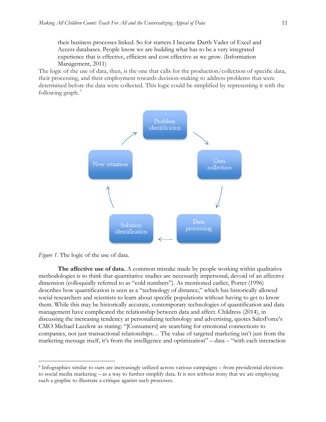their business processes linked. So for starters I became Darth Vader of Excel and Access databases. People know we are building what has to be a very integrated experience that is effective, efficient and cost effective as we grow. (Information Management, 2011)

The logic of the use of data, then, is the one that calls for the production/collection of specific data, their processing, and their employment towards decision-making to address problems that were determined before the data were collected. This logic could be simplified by representing it with the following graph.<sup>9</sup>





 $\overline{a}$ 

**The affective use of data.** A common mistake made by people working within qualitative methodologies is to think that quantitative studies are necessarily impersonal, devoid of an affective dimension (colloquially referred to as "cold numbers"). As mentioned earlier, Porter (1996) describes how quantification is seen as a "technology of distance," which has historically allowed social researchers and scientists to learn about specific populations without having to get to know them. While this may be historically accurate, contemporary technologies of quantification and data management have complicated the relationship between data and affect. Childress (2014), in discussing the increasing tendency at personalizing technology and advertising, quotes SalesForce's CMO Michael Lazelow as stating: "[Consumers] are searching for emotional connections to companies, not just transactional relationships… The value of targeted marketing isn't just from the marketing message itself, it's from the intelligence and optimization" – data – "with each interaction

<sup>9</sup> Infographics similar to ours are increasingly utilized across various campaigns – from presidential elections to social media marketing – as a way to further simplify data. It is not without irony that we are employing such a graphic to illustrate a critique against such processes.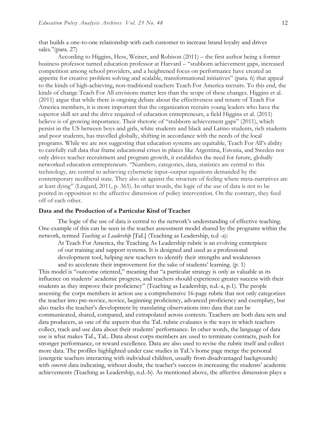that builds a one-to-one relationship with each customer to increase brand loyalty and drives sales."(para. 27)

According to Higgins, Hess, Weiner, and Robison (2011) – the first author being a former business professor turned education professor at Harvard – "stubborn achievement gaps, increased competition among school providers, and a heightened focus on performance have created an appetite for creative problem solving and scalable, transformational initiatives" (para. 6) that appeal to the kinds of high-achieving, non-traditional teachers Teach For America recruits. To this end, the kinds of change Teach For All envisions matter less than the scope of these changes. Higgins et al. (2011) argue that while there is ongoing debate about the effectiveness and tenure of Teach For America members, it is more important that the organization recruits young leaders who have the superior skill set and the drive required of education entrepreneurs, a field Higgins et al. (2011) believe is of growing importance. Their rhetoric of "stubborn achievement gaps" (2011), which persist in the US between boys and girls, white students and black and Latino students, rich students and poor students, has travelled globally, shifting in accordance with the needs of the local programs. While we are not suggesting that education systems are equitable, Teach For All's ability to carefully cull data that frame educational crises in places like Argentina, Estonia, and Sweden not only drives teacher recruitment and program growth, it establishes the need for future, globally networked education entrepreneurs. "Numbers, categories, data, statistics are central to this technology, are central to achieving cybernetic input–output equations demanded by the contemporary neoliberal state. They also sit against the structure of feeling where meta-narratives are at least dying" (Lingard, 2011, p. 365). In other words, the logic of the use of data is not to be posited in opposition to the affective dimension of policy intervention. On the contrary, they feed off of each other.

#### **Data and the Production of a Particular Kind of Teacher**

The logic of the use of data is central to the network's understanding of effective teaching. One example of this can be seen in the teacher assessment model shared by the programs within the network, termed *Teaching as Leadership* [TaL] (Teaching as Leadership, n.d -a):

At Teach For America, the Teaching As Leadership rubric is an evolving centerpiece of our training and support systems. It is designed and used as a professional development tool, helping new teachers to identify their strengths and weaknesses

and to accelerate their improvement for the sake of students' learning. (p. 1) This model is "outcome oriented," meaning that "a particular strategy is only as valuable as its influence on students' academic progress, and teachers should experience greater success with their students as they improve their proficiency" (Teaching as Leadership, n.d.-a, p.1). The people assessing the corps members in action use a comprehensive 16-page rubric that not only categorizes the teacher into pre-novice, novice, beginning proficiency, advanced proficiency and exemplary, but also tracks the teacher's development by translating observations into data that can be communicated, shared, compared, and extrapolated across contexts. Teachers are both data sets and data producers, as one of the aspects that the TaL rubric evaluates is the ways in which teachers collect, track and use data about their students' performance. In other words, the language of data use is what makes TaL, TaL. Data about corps members are used to terminate contracts, push for stronger performance, or reward excellence. Data are also used to revise the rubric itself and collect more data. The profiles highlighted under case studies in TaL's home page merge the personal (energetic teachers interacting with individual children, usually from disadvantaged backgrounds) with *concrete* data indicating, without doubt, the teacher's success in increasing the students' academic achievements (Teaching as Leadership, n.d.-b). As mentioned above, the affective dimension plays a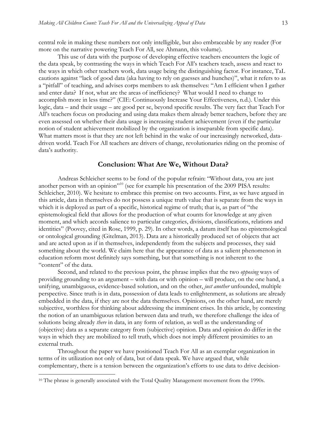central role in making these numbers not only intelligible, but also embraceable by any reader (For more on the narrative powering Teach For All, see Ahmann, this volume).

This use of data with the purpose of developing effective teachers encounters the logic of the data speak, by contrasting the ways in which Teach For All's teachers teach, assess and react to the ways in which other teachers work, data usage being the distinguishing factor. For instance, TaL cautions against "lack of good data (aka having to rely on guesses and hunches)", what it refers to as a "pitfall" of teaching, and advises corps members to ask themselves: "Am I efficient when I gather and enter data? If not, what are the areas of inefficiency? What would I need to change to accomplish more in less time?" (CIE: Continuously Increase Your Effectiveness, n.d.). Under this logic, data – and their usage – are good per se, beyond specific results. The very fact that Teach For All's teachers focus on producing and using data makes them already better teachers, before they are even assessed on whether their data usage is increasing student achievement (even if the particular notion of student achievement mobilized by the organization is inseparable from specific data). What matters most is that they are not left behind in the wake of our increasingly networked, datadriven world. Teach For All teachers are drivers of change, revolutionaries riding on the promise of data's authority.

## **Conclusion: What Are We, Without Data?**

Andreas Schleicher seems to be fond of the popular refrain: "Without data, you are just another person with an opinion"<sup>10</sup> (see for example his presentation of the 2009 PISA results: Schleicher, 2010). We hesitate to embrace this premise on two accounts. First, as we have argued in this article, data in themselves do not possess a unique truth value that is separate from the ways in which it is deployed as part of a specific, historical regime of truth; that is, as part of "the epistemological field that allows for the production of what counts for knowledge at any given moment, and which accords salience to particular categories, divisions, classifications, relations and identities" (Poovey, cited in Rose, 1999, p. 29). In other words, a datum itself has no epistemological or ontological grounding (Gitelman, 2013). Data are a historically produced set of objects that act and are acted upon as if in themselves, independently from the subjects and processes, they said something about the world. We claim here that the appearance of data as a salient phenomenon in education reform most definitely says something, but that something is not inherent to the "content" of the data.

Second, and related to the previous point, the phrase implies that the two *opposing* ways of providing grounding to an argument – with data or with opinion – will produce, on the one hand, a unifying, unambiguous, evidence-based solution, and on the other, *just another* unfounded, multiple perspective. Since truth is in data, possession of data leads to enlightenment, as solutions are already embedded in the data, if they are not the data themselves. Opinions, on the other hand, are merely subjective, worthless for thinking about addressing the imminent crises. In this article, by contesting the notion of an unambiguous relation between data and truth, we therefore challenge the idea of solutions being already *there* in data, in any form of relation, as well as the understanding of (objective) data as a separate category from (subjective) opinion. Data and opinion do differ in the ways in which they are mobilized to tell truth, which does not imply different proximities to an external truth.

Throughout the paper we have positioned Teach For All as an exemplar organization in terms of its utilization not only of data, but of data speak. We have argued that, while complementary, there is a tension between the organization's efforts to use data to drive decision-

<sup>&</sup>lt;sup>10</sup> The phrase is generally associated with the Total Quality Management movement from the 1990s.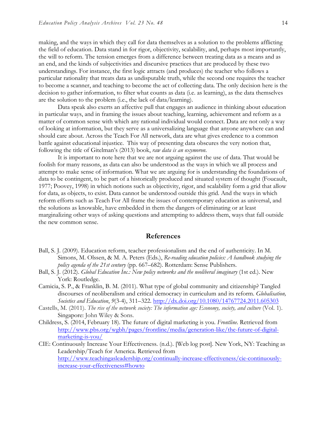making, and the ways in which they call for data themselves as a solution to the problems afflicting the field of education. Data stand in for rigor, objectivity, scalability, and, perhaps most importantly, the will to reform. The tension emerges from a difference between treating data as a means and as an end, and the kinds of subjectivities and discursive practices that are produced by these two understandings. For instance, the first logic attracts (and produces) the teacher who follows a particular rationality that treats data as undisputable truth, while the second one requires the teacher to become a scanner, and teaching to become the act of collecting data. The only decision here is the decision to gather information, to filter what counts as data (i.e. as learning), as the data themselves are the solution to the problem (i.e., the lack of data/learning).

Data speak also exerts an affective pull that engages an audience in thinking about education in particular ways, and in framing the issues about teaching, learning, achievement and reform as a matter of common sense with which any rational individual would connect. Data are not only a way of looking at information, but they serve as a universalizing language that anyone anywhere can and should care about. Across the Teach For All network, data are what gives credence to a common battle against educational injustice. This way of presenting data obscures the very notion that, following the title of Gitelman's (2013) book, *raw data is an oxymoron*.

It is important to note here that we are not arguing against the use of data. That would be foolish for many reasons, as data can also be understood as the ways in which we all process and attempt to make sense of information. What we are arguing for is understanding the foundations of data to be contingent, to be part of a historically produced and situated system of thought (Foucault, 1977; Poovey, 1998) in which notions such as objectivity, rigor, and scalability form a grid that allow for data, as objects, to exist. Data cannot be understood outside this grid. And the ways in which reform efforts such as Teach For All frame the issues of contemporary education as universal, and the solutions as knowable, have embedded in them the dangers of eliminating or at least marginalizing other ways of asking questions and attempting to address them, ways that fall outside the new common sense.

#### **References**

- Ball, S. J. (2009). Education reform, teacher professionalism and the end of authenticity. In M. Simons, M. Olssen, & M. A. Peters (Eds.), *Re-reading education policies: A handbook studying the policy agenda of the 21st century* (pp. 667–682). Rotterdam: Sense Publishers.
- Ball, S. J. (2012). *Global Education Inc.: New policy networks and the neoliberal imaginary* (1st ed.). New York: Routledge.
- Camicia, S. P., & Franklin, B. M. (2011). What type of global community and citizenship? Tangled discourses of neoliberalism and critical democracy in curriculum and its reform. *Globalisation, Societies and Education*, *9*(3-4), 311–322. http://dx.doi.org/10.1080/14767724.2011.605303
- Castells, M. (2011). *The rise of the network society: The information age: Economy, society, and culture* (Vol. 1). Singapore: John Wiley & Sons.
- Childress, S. (2014, February 18). The future of digital marketing is you. *Frontline*. Retrieved from http://www.pbs.org/wgbh/pages/frontline/media/generation-like/the-future-of-digitalmarketing-is-you/
- CIE: Continuously Increase Your Effectiveness. (n.d.). [Web log post]. New York, NY: Teaching as Leadership/Teach for America. Retrieved from http://www.teachingasleadership.org/continually-increase-effectiveness/cie-continuouslyincrease-your-effectiveness#howto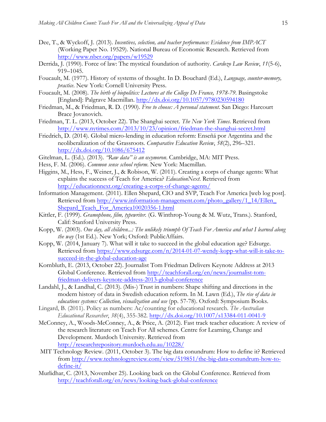- Dee, T., & Wyckoff, J. (2013). *Incentives, selection, and teacher performance: Evidence from IMPACT* (Working Paper No. 19529). National Bureau of Economic Research. Retrieved from http://www.nber.org/papers/w19529
- Derrida, J. (1990). Force of law: The mystical foundation of authority. *Cardozo Law Review*, *11*(5-6), 919–1045.
- Foucault, M. (1977). History of systems of thought. In D. Bouchard (Ed.), *Language, counter-memory, practice*. New York: Cornell University Press.
- Foucault, M. (2008). *The birth of biopolitics: Lectures at the College De France, 1978-79*. Basingstoke [England]: Palgrave Macmillan. http://dx.doi.org/10.1057/9780230594180
- Friedman, M., & Friedman, R. D. (1990). *Free to choose: A personal statement*. San Diego: Harcourt Brace Jovanovich.
- Friedman, T. L. (2013, October 22). The Shanghai secret. *The New York Times*. Retrieved from http://www.nytimes.com/2013/10/23/opinion/friedman-the-shanghai-secret.html
- Friedrich, D. (2014). Global micro-lending in education reform: Enseñá por Argentina and the neoliberalization of the Grassroots. *Comparative Education Review*, *58*(2), 296–321. http://dx.doi.org/10.1086/675412
- Gitelman, L. (Ed.). (2013). *"Raw data" is an oxymoron*. Cambridge, MA: MIT Press.
- Hess, F. M. (2006). *Common sense school reform*. New York: Macmillan.
- Higgins, M., Hess, F., Weiner, J., & Robison, W. (2011). Creating a corps of change agents: What explains the success of Teach for America? *EducationNext*. Retrieved from http://educationnext.org/creating-a-corps-of-change-agents/
- Information Management. (2011). Ellen Shepard, CIO and SVP, Teach For America [web log post]. Retrieved from http://www.information-management.com/photo\_gallery/1\_14/Ellen\_ Shepard\_Teach\_For\_America10020356-1.html
- Kittler, F. (1999). *Gramophone, film, typewriter.* (G. Winthrop-Young & M. Wutz, Trans.). Stanford, Calif: Stanford University Press.
- Kopp, W. (2003). *One day, all children...: The unlikely triumph Of Teach For America and what I learned along the way* (1st Ed.). New York; Oxford: PublicAffairs.
- Kopp, W. (2014, January 7). What will it take to succeed in the global education age? Edsurge. Retrieved from https://www.edsurge.com/n/2014-01-07-wendy-kopp-what-will-it-take-tosucceed-in-the-global-education-age
- Kornbluth, E. (2013, October 22). Journalist Tom Friedman Delivers Keynote Address at 2013 Global Conference. Retrieved from http://teachforall.org/en/news/journalist-tomfriedman-delivers-keynote-address-2013-global-conference
- Landahl, J., & Landhal, C. (2013). (Mis-) Trust in numbers: Shape shifting and directions in the modern history of data in Swedish education reform. In M. Lawn (Ed.), *The rise of data in educations systems: Collection, visualization and use* (pp. 57-78). Oxford: Symposium Books.
- Lingard, B. (2011). Policy as numbers: Ac/counting for educational research. *The Australian Educational Researcher*, *38*(4), 355-382. http://dx.doi.org/10.1007/s13384-011-0041-9
- McConney, A., Woods-McConney, A., & Price, A. (2012). Fast track teacher education: A review of the research literature on Teach For All schemes. Centre for Learning, Change and Development. Murdoch University. Retrieved from http://researchrepository.murdoch.edu.au/10228/
- MIT Technology Review. (2011, October 3). The big data conundrum: How to define it? Retrieved from http://www.technologyreview.com/view/519851/the-big-data-conundrum-how-todefine-it/
- Murlidhar, C. (2013, November 25). Looking back on the Global Conference. Retrieved from http://teachforall.org/en/news/looking-back-global-conference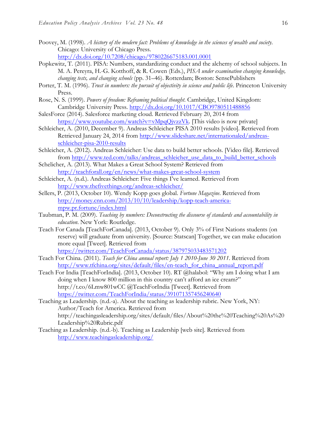- Poovey, M. (1998). *A history of the modern fact: Problems of knowledge in the sciences of wealth and society*. Chicago: University of Chicago Press. http://dx.doi.org/10.7208/chicago/9780226675183.001.0001
- Popkewitz, T. (2011). PISA: Numbers, standardizing conduct and the alchemy of school subjects. In M. A. Pereyra, H.-G. Kotthoff, & R. Cowen (Eds.), *PISA under examination changing knowledge, changing tests, and changing schools* (pp. 31–46). Rotterdam; Boston: SensePublishers
- Porter, T. M. (1996). *Trust in numbers: the pursuit of objectivity in science and public life*. Princeton University Press.
- Rose, N. S. (1999). *Powers of freedom: Reframing political thought*. Cambridge, United Kingdom: Cambridge University Press. http://dx.doi.org/10.1017/CBO9780511488856
- SalesForce (2014). Salesforce marketing cloud. Retrieved February 20, 2014 from https://www.youtube.com/watch?v=vMpqQjvzzVk. [This video is now private]
- Schleicher, A. (2010, December 9). Andreas Schleicher PISA 2010 results [video]. Retrieved from Retrieved January 24, 2014 from http://www.slideshare.net/internationaled/andreasschleicher-pisa-2010-results
- Schleicher, A. (2012). Andreas Schleicher: Use data to build better schools. [Video file]. Retrieved from http://www.ted.com/talks/andreas\_schleicher\_use\_data\_to\_build\_better\_schools
- Schelicher, A. (2013). What Makes a Great School System? Retrieved from http://teachforall.org/en/news/what-makes-great-school-system
- Schleicher, A. (n.d.). Andreas Schleicher: Five things I've learned. Retrieved from http://www.thefivethings.org/andreas-schleicher/
- Sellers, P. (2013, October 10). Wendy Kopp goes global. *Fortune Magazine*. Retrieved from http://money.cnn.com/2013/10/10/leadership/kopp-teach-americampw.pr.fortune/index.html
- Taubman, P. M. (2009). *Teaching by numbers: Deconstructing the discourse of standards and accountability in education*. New York: Routledge.
- Teach For Canada [TeachForCanada]. (2013, October 9). Only 3% of First Nations students (on reserve) will graduate from university. [Source: Statscan] Together, we can make education more equal [Tweet]. Retrieved from https://twitter.com/TeachForCanada/status/387975033483571202
- Teach For China. (2011). *Teach for China annual report: July 1 2010-June 30 2011*. Retrieved from http://www.tfchina.org/sites/default/files/en-teach\_for\_china\_annual\_report.pdf
- Teach For India [TeachForIndia]. (2013, October 10). RT @halabol: "Why am I doing what I am doing when I know 800 million in this country can't afford an ice cream?" http://t.co/6Lmw801wCC @TeachForIndia [Tweet]. Retrieved from https://twitter.com/TeachForIndia/status/391071357456240640

Teaching as Leadership. (n.d.-a). About the teaching as leadership rubric. New York, NY: Author/Teach for America. Retrieved from http://teachingasleadership.org/sites/default/files/About%20the%20Teaching%20As%20 Leadership%20Rubric.pdf

Teaching as Leadership. (n.d.-b). Teaching as Leadership [web site]. Retrieved from http://www.teachingasleadership.org/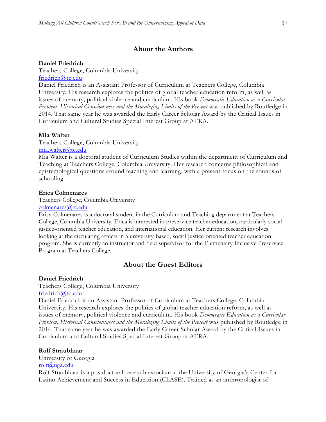## **About the Authors**

#### **Daniel Friedrich**

Teachers College, Columbia University friedrich@tc.edu

Daniel Friedrich is an Assistant Professor of Curriculum at Teachers College, Columbia University. His research explores the politics of global teacher education reform, as well as issues of memory, political violence and curriculum. His book *Democratic Education as a Curricular Problem: Historical Consciousness and the Moralizing Limits of the Present* was published by Routledge in 2014. That same year he was awarded the Early Career Scholar Award by the Critical Issues in Curriculum and Cultural Studies Special Interest Group at AERA.

#### **Mia Walter**

Teachers College, Columbia University

#### mia.walter@tc.edu

Mia Walter is a doctoral student of Curriculum Studies within the department of Curriculum and Teaching at Teachers College, Columbia University. Her research concerns philosophical and epistemological questions around teaching and learning, with a present focus on the sounds of schooling.

#### **Erica Colmenares**

Teachers College, Columbia University

#### colmenares@tc.edu

Erica Colmenares is a doctoral student in the Curriculum and Teaching department at Teachers College, Columbia University. Erica is interested in preservice teacher education, particularly social justice-oriented teacher education, and international education. Her current research involves looking at the circulating affects in a university-based, social justice-oriented teacher education program. She is currently an instructor and field supervisor for the Elementary Inclusive Preservice Program at Teachers College.

## **About the Guest Editors**

#### **Daniel Friedrich**

Teachers College, Columbia University

friedrich@tc.edu

Daniel Friedrich is an Assistant Professor of Curriculum at Teachers College, Columbia University. His research explores the politics of global teacher education reform, as well as issues of memory, political violence and curriculum. His book *Democratic Education as a Curricular Problem: Historical Consciousness and the Moralizing Limits of the Present* was published by Routledge in 2014. That same year he was awarded the Early Career Scholar Award by the Critical Issues in Curriculum and Cultural Studies Special Interest Group at AERA.

#### **Rolf Straubhaar**

University of Georgia rolf@uga.edu

Rolf Straubhaar is a postdoctoral research associate at the University of Georgia's Center for Latino Achievement and Success in Education (CLASE). Trained as an anthropologist of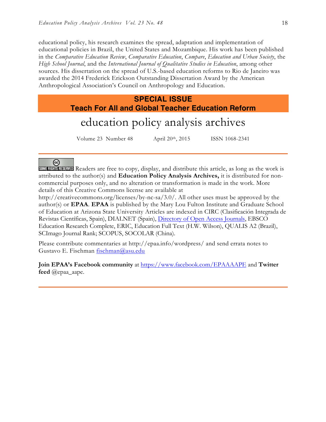educational policy, his research examines the spread, adaptation and implementation of educational policies in Brazil, the United States and Mozambique. His work has been published in the *Comparative Education Review*, *Comparative Education*, *Compare*, *Education and Urban Society*, the *High School Journal*, and the *International Journal of Qualitative Studies in Education*, among other sources. His dissertation on the spread of U.S.-based education reforms to Rio de Janeiro was awarded the 2014 Frederick Erickson Outstanding Dissertation Award by the American Anthropological Association's Council on Anthropology and Education.

## **SPECIAL ISSUE Teach For All and Global Teacher Education Reform**

# education policy analysis archives

Volume 23 Number 48 April 20th, 2015 ISSN 1068-2341

ര

SOME RIGHTS RESERVED Readers are free to copy, display, and distribute this article, as long as the work is attributed to the author(s) and **Education Policy Analysis Archives,** it is distributed for noncommercial purposes only, and no alteration or transformation is made in the work. More details of this Creative Commons license are available at

http://creativecommons.org/licenses/by-nc-sa/3.0/. All other uses must be approved by the author(s) or **EPAA**. **EPAA** is published by the Mary Lou Fulton Institute and Graduate School of Education at Arizona State University Articles are indexed in CIRC (Clasificación Integrada de Revistas Científicas, Spain), DIALNET (Spain), Directory of Open Access Journals, EBSCO Education Research Complete, ERIC, Education Full Text (H.W. Wilson), QUALIS A2 (Brazil), SCImago Journal Rank; SCOPUS, SOCOLAR (China).

Please contribute commentaries at http://epaa.info/wordpress/ and send errata notes to Gustavo E. Fischman fischman@asu.edu

**Join EPAA's Facebook community** at https://www.facebook.com/EPAAAAPE and **Twitter feed** @epaa\_aape.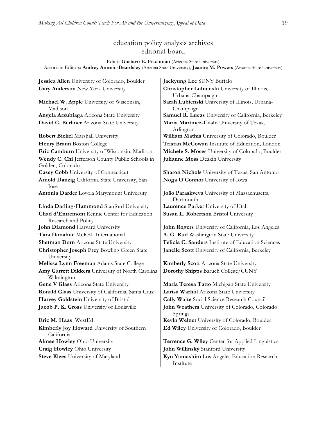## education policy analysis archives editorial board

Editor **Gustavo E. Fischman** (Arizona State University) Associate Editors: **Audrey Amrein-Beardsley** (Arizona State University), **Jeanne M. Powers** (Arizona State University)

**Jessica Allen** University of Colorado, Boulder **Jaekyung Lee** SUNY Buffalo **Gary Anderson** New York University **Christopher Lubienski** University of Illinois,

**Michael W. Apple** University of Wisconsin, Madison

**Robert Bickel Marshall University William Mathis University of Colorado, Boulder Wendy C. Chi** Jefferson County Public Schools in Golden, Colorado **Casey Cobb** University of Connecticut **Sharon Nichols** University of Texas, San Antonio **Arnold Danzig** California State University, San Jose **Antonia Darder** Loyola Marymount University **João Paraskveva** University of Massachusetts, **Linda Darling-Hammond** Stanford University **Laurence Parker** University of Utah **Chad d'Entremont** Rennie Center for Education Research and Policy **John Diamond** Harvard University **John Rogers** University of California, Los Angeles **Tara Donahue** McREL International **A. G. Rud** Washington State University **Christopher Joseph Frey** Bowling Green State University **Melissa Lynn Freeman** Adams State College **Kimberly Scott** Arizona State University **Amy Garrett Dikkers** University of North Carolina Wilmington **Gene V Glass** Arizona State University **Maria Teresa Tatto** Michigan State University **Ronald Glass** University of California, Santa Cruz **Larisa Warhol** Arizona State University **Harvey Goldstein** University of Bristol **Cally Waite** Social Science Research Council **Jacob P. K. Gross** University of Louisville **John Weathers** University of Colorado, Colorado **Eric M. Haas** WestEd **Kevin Welner** University of Colorado, Boulder **Kimberly Joy Howard** University of Southern California **Aimee Howley** Ohio University **Terrence G. Wiley** Center for Applied Linguistics **Craig Howley** Ohio University **John Willinsky** Stanford University

Urbana-Champaign **Sarah Lubienski** University of Illinois, Urbana-Champaign **Angela Arzubiaga** Arizona State University **Samuel R. Lucas** University of California, Berkeley **David C. Berliner** Arizona State University **Maria Martinez-Coslo** University of Texas, Arlington **Henry Braun** Boston College **Tristan McCowan** Institute of Education, London **Eric Camburn** University of Wisconsin, Madison **Michele S. Moses** University of Colorado, Boulder **Julianne Moss** Deakin University

**Noga O'Connor** University of Iowa

Dartmouth **Susan L. Robertson** Bristol University

**Sherman Dorn** Arizona State University **Felicia C. Sanders** Institute of Education Sciences **Janelle Scott** University of California, Berkeley

**Dorothy Shipps** Baruch College/CUNY

Springs **Ed Wiley** University of Colorado, Boulder

**Steve Klees** University of Maryland **Kyo Yamashiro** Los Angeles Education Research Institute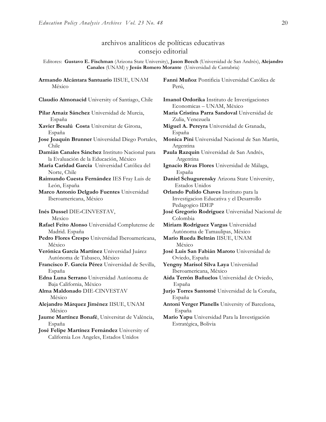## archivos analíticos de políticas educativas consejo editorial

Editores: **Gustavo E. Fischman** (Arizona State University), **Jason Beech** (Universidad de San Andrés), **Alejandro Canales** (UNAM) y **Jesús Romero Morante** (Universidad de Cantabria)

**Armando Alcántara Santuario** IISUE, UNAM México

**Pilar Arnaiz Sánchez** Universidad de Murcia, España

- **Xavier Besalú Costa** Universitat de Girona, España
- **Jose Joaquin Brunner** Universidad Diego Portales, Chile

**Damián Canales Sánchez** Instituto Nacional para la Evaluación de la Educación, México

**María Caridad García** Universidad Católica del Norte, Chile

**Raimundo Cuesta Fernández** IES Fray Luis de León, España

**Marco Antonio Delgado Fuentes** Universidad Iberoamericana, México

**Inés Dussel** DIE**-**CINVESTAV,

Mexico

**Rafael Feito Alonso** Universidad Complutense de Madrid. España

- **Pedro Flores Crespo** Universidad Iberoamericana, México
- **Verónica García Martínez** Universidad Juárez Autónoma de Tabasco, México
- **Francisco F. García Pérez** Universidad de Sevilla, España

**Edna Luna Serrano** Universidad Autónoma de Baja California, México

**Alma Maldonado** DIE-CINVESTAV México

**Alejandro Márquez Jiménez** IISUE, UNAM México

**Jaume Martínez Bonafé**, Universitat de València, España

**José Felipe Martínez Fernández** University of California Los Angeles, Estados Unidos

**Fanni Muñoz** Pontificia Universidad Católica de Perú,

**Claudio Almonacid** University of Santiago, Chile **Imanol Ordorika** Instituto de Investigaciones Economicas – UNAM, México

- **Maria Cristina Parra Sandoval** Universidad de Zulia, Venezuela
- **Miguel A. Pereyra** Universidad de Granada, España
- **Monica Pini** Universidad Nacional de San Martín, Argentina

**Paula Razquin** Universidad de San Andrés, Argentina

**Ignacio Rivas Flores** Universidad de Málaga, España

**Daniel Schugurensky** Arizona State University, Estados Unidos

**Orlando Pulido Chaves** Instituto para la Investigacion Educativa y el Desarrollo Pedagogico IDEP

**José Gregorio Rodríguez** Universidad Nacional de Colombia

**Miriam Rodríguez Vargas** Universidad Autónoma de Tamaulipas, México

**Mario Rueda Beltrán** IISUE, UNAM México

**José Luis San Fabián Maroto** Universidad de Oviedo, España

**Yengny Marisol Silva Laya** Universidad Iberoamericana, México

**Aida Terrón Bañuelos** Universidad de Oviedo, España

**Jurjo Torres Santomé** Universidad de la Coruña, España

**Antoni Verger Planells** University of Barcelona, España

**Mario Yapu** Universidad Para la Investigación Estratégica, Bolivia